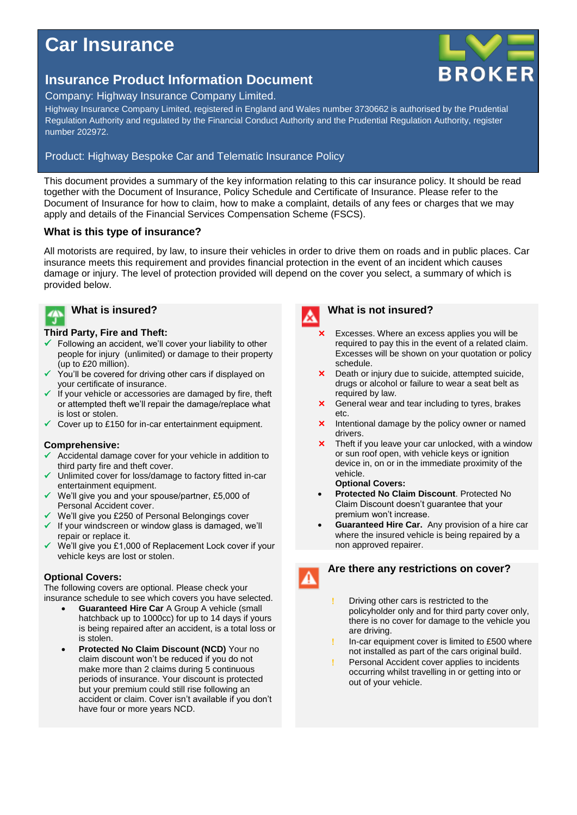# **Car Insurance**

## **Insurance Product Information Document**

### Company: Highway Insurance Company Limited.

Highway Insurance Company Limited, registered in England and Wales number 3730662 is authorised by the Prudential Regulation Authority and regulated by the Financial Conduct Authority and the Prudential Regulation Authority, register number 202972.

### Product: Highway Bespoke Car and Telematic Insurance Policy

This document provides a summary of the key information relating to this car insurance policy. It should be read together with the Document of Insurance, Policy Schedule and Certificate of Insurance. Please refer to the Document of Insurance for how to claim, how to make a complaint, details of any fees or charges that we may apply and details of the Financial Services Compensation Scheme (FSCS).

### **What is this type of insurance?**

All motorists are required, by law, to insure their vehicles in order to drive them on roads and in public places. Car insurance meets this requirement and provides financial protection in the event of an incident which causes damage or injury. The level of protection provided will depend on the cover you select, a summary of which is provided below.

### **What is insured?**  $\overline{A}$

### **Third Party, Fire and Theft:**

- $\checkmark$  Following an accident, we'll cover your liability to other people for injury (unlimited) or damage to their property (up to £20 million).
- You'll be covered for driving other cars if displayed on your certificate of insurance.
- If your vehicle or accessories are damaged by fire, theft or attempted theft we'll repair the damage/replace what is lost or stolen.
- $\checkmark$  Cover up to £150 for in-car entertainment equipment.

### **Comprehensive:**

- Accidental damage cover for your vehicle in addition to third party fire and theft cover.
- Unlimited cover for loss/damage to factory fitted in-car entertainment equipment.
- We'll give you and your spouse/partner, £5,000 of Personal Accident cover.
- We'll give you £250 of Personal Belongings cover
- $\checkmark$  If your windscreen or window glass is damaged, we'll repair or replace it.
- We'll give you £1,000 of Replacement Lock cover if your vehicle keys are lost or stolen.

### **Optional Covers:**

The following covers are optional. Please check your insurance schedule to see which covers you have selected.

- **Guaranteed Hire Car** A Group A vehicle (small hatchback up to 1000cc) for up to 14 days if yours is being repaired after an accident, is a total loss or is stolen.
- **Protected No Claim Discount (NCD)** Your no claim discount won't be reduced if you do not make more than 2 claims during 5 continuous periods of insurance. Your discount is protected but your premium could still rise following an accident or claim. Cover isn't available if you don't have four or more years NCD.

### **What is not insured?**

- Excesses. Where an excess applies you will be required to pay this in the event of a related claim. Excesses will be shown on your quotation or policy schedule.
- Death or injury due to suicide, attempted suicide, drugs or alcohol or failure to wear a seat belt as required by law.
- **x** General wear and tear including to tyres, brakes etc.
- $\times$  Intentional damage by the policy owner or named drivers.
- **x** Theft if you leave your car unlocked, with a window or sun roof open, with vehicle keys or ignition device in, on or in the immediate proximity of the vehicle. **Optional Covers:**
	-
- **Protected No Claim Discount**. Protected No Claim Discount doesn't guarantee that your premium won't increase.
- **Guaranteed Hire Car.** Any provision of a hire car where the insured vehicle is being repaired by a non approved repairer.

### **Are there any restrictions on cover?**

- 
- Driving other cars is restricted to the policyholder only and for third party cover only, there is no cover for damage to the vehicle you are driving.
- In-car equipment cover is limited to £500 where not installed as part of the cars original build.
- Personal Accident cover applies to incidents occurring whilst travelling in or getting into or out of your vehicle.